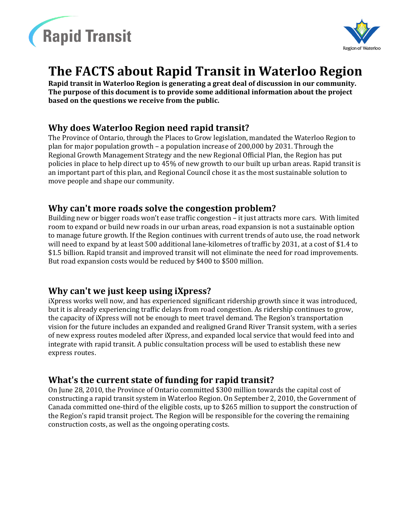



# **The FACTS about Rapid Transit in Waterloo Region**

**Rapid transit in Waterloo Region is generating a great deal of discussion in our community. The purpose of this document is to provide some additional information about the project based on the questions we receive from the public.**

#### **Why does Waterloo Region need rapid transit?**

The Province of Ontario, through the Places to Grow legislation, mandated the Waterloo Region to plan for major population growth – a population increase of 200,000 by 2031. Through the Regional Growth Management Strategy and the new Regional Official Plan, the Region has put policies in place to help direct up to 45% of new growth to our built up urban areas. Rapid transit is an important part of this plan, and Regional Council chose it as the most sustainable solution to move people and shape our community.

#### **Why can't more roads solve the congestion problem?**

Building new or bigger roads won't ease traffic congestion – it just attracts more cars. With limited room to expand or build new roads in our urban areas, road expansion is not a sustainable option to manage future growth. If the Region continues with current trends of auto use, the road network will need to expand by at least 500 additional lane-kilometres of traffic by 2031, at a cost of \$1.4 to \$1.5 billion. Rapid transit and improved transit will not eliminate the need for road improvements. But road expansion costs would be reduced by \$400 to \$500 million.

#### **Why can't we just keep using iXpress?**

iXpress works well now, and has experienced significant ridership growth since it was introduced, but it is already experiencing traffic delays from road congestion. As ridership continues to grow, the capacity of iXpress will not be enough to meet travel demand. The Region's transportation vision for the future includes an expanded and realigned Grand River Transit system, with a series of new express routes modeled after iXpress, and expanded local service that would feed into and integrate with rapid transit. A public consultation process will be used to establish these new express routes.

#### **What's the current state of funding for rapid transit?**

On June 28, 2010, the Province of Ontario committed \$300 million towards the capital cost of constructing a rapid transit system in Waterloo Region. On September 2, 2010, the Government of Canada committed one-third of the eligible costs, up to \$265 million to support the construction of the Region's rapid transit project. The Region will be responsible for the covering the remaining construction costs, as well as the ongoing operating costs.